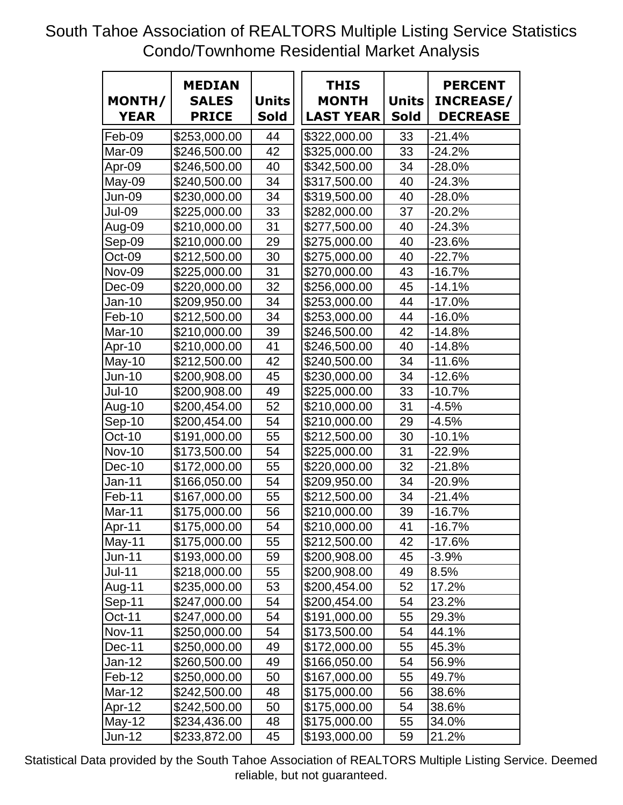South Tahoe Association of REALTORS Multiple Listing Service Statistics Condo/Townhome Residential Market Analysis

| MONTH/<br><b>YEAR</b> | <b>MEDIAN</b><br><b>SALES</b><br><b>PRICE</b> | <b>Units</b><br><b>Sold</b> | <b>THIS</b><br><b>MONTH</b><br><b>LAST YEAR</b> | <b>Units</b><br><b>Sold</b> | <b>PERCENT</b><br><b>INCREASE/</b><br><b>DECREASE</b> |
|-----------------------|-----------------------------------------------|-----------------------------|-------------------------------------------------|-----------------------------|-------------------------------------------------------|
| Feb-09                | \$253,000.00                                  | 44                          | \$322,000.00                                    | 33                          | $-21.4%$                                              |
| Mar-09                | \$246,500.00                                  | 42                          | \$325,000.00                                    | 33                          | $-24.2%$                                              |
| Apr-09                | \$246,500.00                                  | 40                          | \$342,500.00                                    | 34                          | -28.0%                                                |
| May-09                | \$240,500.00                                  | 34                          | \$317,500.00                                    | 40                          | $-24.3%$                                              |
| Jun-09                | \$230,000.00                                  | 34                          | \$319,500.00                                    | 40                          | -28.0%                                                |
| Jul-09                | \$225,000.00                                  | 33                          | \$282,000.00                                    | 37                          | $-20.2%$                                              |
| Aug-09                | \$210,000.00                                  | 31                          | \$277,500.00                                    | 40                          | $-24.3%$                                              |
| Sep-09                | \$210,000.00                                  | 29                          | \$275,000.00                                    | 40                          | $-23.6%$                                              |
| Oct-09                | \$212,500.00                                  | 30                          | \$275,000.00                                    | 40                          | $-22.7%$                                              |
| <b>Nov-09</b>         | \$225,000.00                                  | 31                          | \$270,000.00                                    | 43                          | $-16.7%$                                              |
| Dec-09                | \$220,000.00                                  | 32                          | \$256,000.00                                    | 45                          | $-14.1%$                                              |
| Jan-10                | \$209,950.00                                  | 34                          | \$253,000.00                                    | 44                          | $-17.0%$                                              |
| Feb-10                | \$212,500.00                                  | 34                          | \$253,000.00                                    | 44                          | $-16.0%$                                              |
| Mar-10                | \$210,000.00                                  | 39                          | \$246,500.00                                    | 42                          | $-14.8%$                                              |
| Apr-10                | \$210,000.00                                  | 41                          | \$246,500.00                                    | 40                          | $-14.8%$                                              |
| $May-10$              | \$212,500.00                                  | 42                          | \$240,500.00                                    | 34                          | $-11.6%$                                              |
| Jun-10                | \$200,908.00                                  | 45                          | \$230,000.00                                    | 34                          | $-12.6%$                                              |
| <b>Jul-10</b>         | \$200,908.00                                  | 49                          | \$225,000.00                                    | 33                          | $-10.7%$                                              |
| Aug-10                | \$200,454.00                                  | 52                          | \$210,000.00                                    | 31                          | $-4.5%$                                               |
| Sep-10                | \$200,454.00                                  | 54                          | \$210,000.00                                    | 29                          | $-4.5%$                                               |
| Oct-10                | \$191,000.00                                  | 55                          | \$212,500.00                                    | 30                          | $-10.1%$                                              |
| <b>Nov-10</b>         | \$173,500.00                                  | 54                          | \$225,000.00                                    | 31                          | $-22.9%$                                              |
| Dec-10                | \$172,000.00                                  | 55                          | \$220,000.00                                    | 32                          | $-21.8%$                                              |
| <b>Jan-11</b>         | \$166,050.00                                  | 54                          | \$209,950.00                                    | 34                          | $-20.9%$                                              |
| Feb-11                | \$167,000.00                                  | 55                          | \$212,500.00                                    | 34                          | $-21.4%$                                              |
| Mar-11                | \$175,000.00                                  | 56                          | \$210,000.00                                    | 39                          | $-16.7%$                                              |
| Apr-11                | $\overline{$175,000.00}$                      | 54                          | $\sqrt{210,000.00}$                             | 41                          | $-16.7%$                                              |
| May-11                | \$175,000.00                                  | 55                          | \$212,500.00                                    | 42                          | $-17.6%$                                              |
| <b>Jun-11</b>         | \$193,000.00                                  | 59                          | \$200,908.00                                    | 45                          | $-3.9\%$                                              |
| <b>Jul-11</b>         | \$218,000.00                                  | 55                          | \$200,908.00                                    | 49                          | 8.5%                                                  |
| Aug-11                | \$235,000.00                                  | 53                          | \$200,454.00                                    | 52                          | 17.2%                                                 |
| Sep-11                | \$247,000.00                                  | 54                          | \$200,454.00                                    | 54                          | 23.2%                                                 |
| Oct-11                | \$247,000.00                                  | 54                          | \$191,000.00                                    | 55                          | 29.3%                                                 |
| <b>Nov-11</b>         | \$250,000.00                                  | 54                          | \$173,500.00                                    | 54                          | 44.1%                                                 |
| Dec-11                | \$250,000.00                                  | 49                          | \$172,000.00                                    | 55                          | 45.3%                                                 |
| Jan-12                | \$260,500.00                                  | 49                          | \$166,050.00                                    | 54                          | 56.9%                                                 |
| Feb-12                | \$250,000.00                                  | 50                          | \$167,000.00                                    | 55                          | 49.7%                                                 |
| Mar-12                | \$242,500.00                                  | 48                          | \$175,000.00                                    | 56                          | 38.6%                                                 |
| Apr-12                | \$242,500.00                                  | 50                          | \$175,000.00                                    | 54                          | 38.6%                                                 |
| $May-12$              | \$234,436.00                                  | 48                          | \$175,000.00                                    | 55                          | 34.0%                                                 |
| Jun-12                | \$233,872.00                                  | 45                          | \$193,000.00                                    | 59                          | 21.2%                                                 |

Statistical Data provided by the South Tahoe Association of REALTORS Multiple Listing Service. Deemed reliable, but not guaranteed.